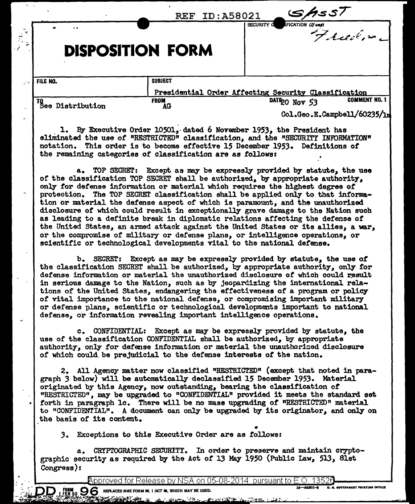|                        | <b>REF ID: A58021</b>                                      | S/1557<br>SECURITY <b>d</b>                                                                                                                                                                                                                                                                                                                                                                                                                                                                                                                                                               |
|------------------------|------------------------------------------------------------|-------------------------------------------------------------------------------------------------------------------------------------------------------------------------------------------------------------------------------------------------------------------------------------------------------------------------------------------------------------------------------------------------------------------------------------------------------------------------------------------------------------------------------------------------------------------------------------------|
|                        | <b>DISPOSITION FORM</b>                                    | FICATION (N one)                                                                                                                                                                                                                                                                                                                                                                                                                                                                                                                                                                          |
| FILE NO.               | <b>SUBJECT</b>                                             | Presidential Order Affecting Security Classification                                                                                                                                                                                                                                                                                                                                                                                                                                                                                                                                      |
| TO<br>See Distribution | FROM<br>AG                                                 | <b>COMMENT NO. 1</b><br>DATE20 Nov 53<br>Col.Geo.E.Campbell/60235/1m                                                                                                                                                                                                                                                                                                                                                                                                                                                                                                                      |
|                        | the remaining categories of classification are as follows: | 1. By Executive Order 10501, dated 6 November 1953, the President has<br>eliminated the use of "RESTRICTED" classification, and the "SECURITY INFORMATION"<br>notation. This order is to become effective 15 December 1953. Definitions of                                                                                                                                                                                                                                                                                                                                                |
|                        |                                                            | a. TOP SECRET: Except as may be expressly provided by statute, the use<br>of the classification TOP SECRET shall be authorized, by appropriate authority,<br>only for defense information or material which requires the highest degree of<br>protection. The TOP SECRET classification shall be applied only to that informa-<br>tion or material the defense aspect of which is paramount, and the unauthorized<br>disclosure of which could result in exceptionally grave damage to the Nation such<br>as leading to a definite break in diplomatic relations affecting the defense of |

SECRET: Except as may be expressly provided by statute, the use of b. the classification SECRET shall be authorized, by appropriate authority, only for defense information or material the unauthorized disclosure of which could result in serious damage to the Nation, such as by jeopardizing the international relations of the United States, endangering the effectiveness of a program or policy of vital importance to the national defense, or compromising important military or defense plans, scientific or technological developments important to national defense, or information revealing important intelligence operations.

the United States, an armed attack against the United States or its allies, a war, or the compromise of military or defense plans, or intelligence operations, or

scientific or technological developments vital to the national defense.

c. CONFIDENTIAL: Except as may be expressly provided by statute, the use of the classification CONFIDENTIAL shall be authorized, by appropriate authority, only for defense information or material the unauthorized disclosure of which could be prejudicial to the defense interests of the nation.

2. All Agency matter now classified "RESTRICTED" (except that noted in paragraph 3 below) will be automatically declassified 15 December 1953. Material originated by this Agency, now outstanding, bearing the classification of "RESTRICTED", may be upgraded to "CONFIDENTIAL" provided it meets the standard set forth in paragraph lc. There will be no mass upgrading of "RESTRICTED" material to "CONFIDENTIAL". A document can only be upgraded by its originator, and only on the basis of its content.

3. Exceptions to this Executive Order are as follows:

CRIPTOGRAPHIC SECURITY. In order to preserve and maintain crypto $a_{-}$ graphic security as required by the Act of 13 May 1950 (Public Law, 513, 81st Congress):

<u>Approved for Release by NSA on 05-08-2014 pursuant to E.O. 13526</u>

 $\mathbf{g}_0 \mathbf{g}$  replaces nme form \$6, 1 oct 48, which may be used.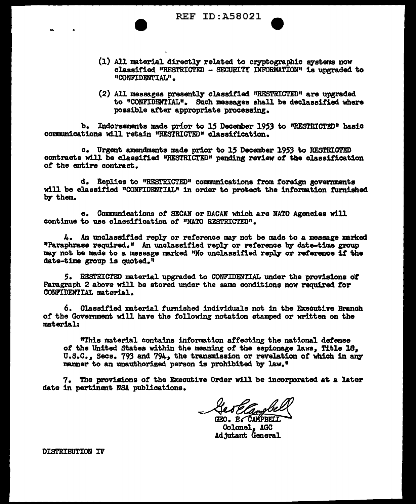REF ID: A58021

- $(1)$  All material directly related to cryptographic systems now classified "RESTRICTED - SECURITY INFORMATION" is upgraded. to "CONFIDENTIAL".
- $(2)$  All messages presently classified "RESTRICTED" are upgraded. to "CONFIDENTIAL". Such messages shall be declassified where possible after appropriate processing.

b. Indorsements made prior to 15 December 1953 to "RESTRICTED" basic communications will retain "RESTRICTED" classification.

c. Urgent amendments made prior to 15 December 1953 to RESTRICTED contracts will be classified "RESTRICTED" pending review of the classification or the entire contract.

d. Replies to "RESTRICTED" communications from foreign governments will be classified "CONFIDENTIAL" in order to protect the information tarnished by them.

e. Communications of SECAN or DACAN which are NATO Agencies will continue to use classification of "NATO RESTRICTED".

4. An unclassified reply or reference may not be made to a message marked "Paraphrase required," An unclassified rep]J' or reference by date-time group may not be made to a message marked "No unclassified reply or reference if the date-time group is quoted."

*S.* RESTRICTED material upgraded to CONFIDENTIAL under the provisions cit Paragraph 2 above will be stored under the same conditions now required tor CONFIDENTIAL material.

6. Classified material fumished individuals not in the Executive Branch *ot* the Government will have the following notation stamped or written on the material:

"This material contains information affecting the national defense *ot* the United States within the meaning of the espionage laws, Title 18, U.S.C., Secs. 793 and 794, the transmission or revelation of which in any manner to an unauthorized person is prohibited by law."

7. The provisions of the Executive Order will be incorporated at a later date in pertinent NSA publications.

GEO. E. CAMPBEL

Colonel, AGC Adjutant General

DISTRIBUTION IV